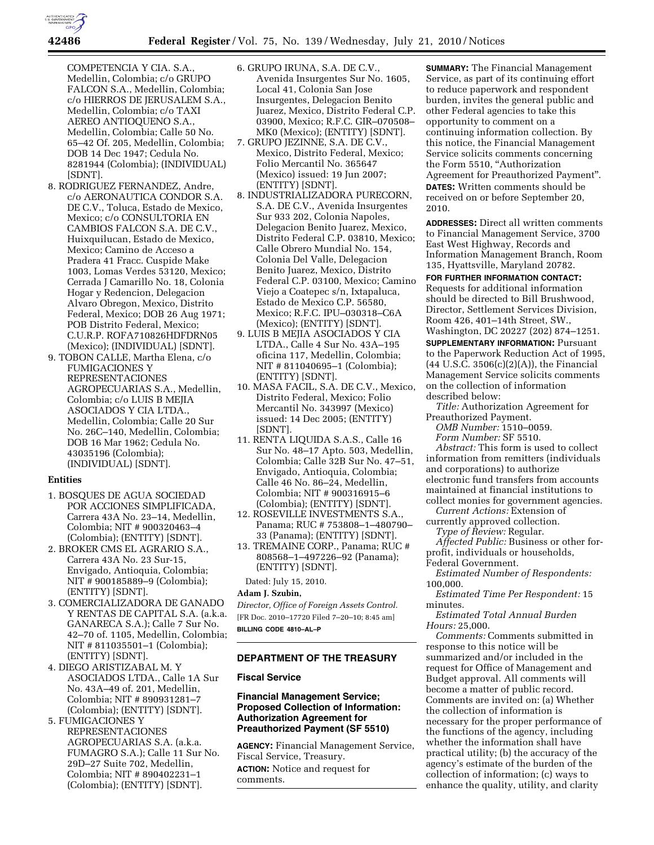

COMPETENCIA Y CIA. S.A., Medellin, Colombia; c/o GRUPO FALCON S.A., Medellin, Colombia; c/o HIERROS DE JERUSALEM S.A., Medellin, Colombia; c/o TAXI AEREO ANTIOQUENO S.A., Medellin, Colombia; Calle 50 No. 65–42 Of. 205, Medellin, Colombia; DOB 14 Dec 1947; Cedula No. 8281944 (Colombia); (INDIVIDUAL) [SDNT].

- 8. RODRIGUEZ FERNANDEZ, Andre, c/o AERONAUTICA CONDOR S.A. DE C.V., Toluca, Estado de Mexico, Mexico; c/o CONSULTORIA EN CAMBIOS FALCON S.A. DE C.V., Huixquilucan, Estado de Mexico, Mexico; Camino de Acceso a Pradera 41 Fracc. Cuspide Make 1003, Lomas Verdes 53120, Mexico; Cerrada J Camarillo No. 18, Colonia Hogar y Redencion, Delegacion Alvaro Obregon, Mexico, Distrito Federal, Mexico; DOB 26 Aug 1971; POB Distrito Federal, Mexico; C.U.R.P. ROFA710826HDFDRN05 (Mexico); (INDIVIDUAL) [SDNT].
- 9. TOBON CALLE, Martha Elena, c/o FUMIGACIONES Y REPRESENTACIONES AGROPECUARIAS S.A., Medellin, Colombia; c/o LUIS B MEJIA ASOCIADOS Y CIA LTDA., Medellin, Colombia; Calle 20 Sur No. 26C–140, Medellin, Colombia; DOB 16 Mar 1962; Cedula No. 43035196 (Colombia); (INDIVIDUAL) [SDNT].

#### **Entities**

- 1. BOSQUES DE AGUA SOCIEDAD POR ACCIONES SIMPLIFICADA, Carrera 43A No. 23–14, Medellin, Colombia; NIT # 900320463–4 (Colombia); (ENTITY) [SDNT].
- 2. BROKER CMS EL AGRARIO S.A., Carrera 43A No. 23 Sur-15, Envigado, Antioquia, Colombia; NIT # 900185889–9 (Colombia); (ENTITY) [SDNT].
- 3. COMERCIALIZADORA DE GANADO Y RENTAS DE CAPITAL S.A. (a.k.a. GANARECA S.A.); Calle 7 Sur No. 42–70 of. 1105, Medellin, Colombia; NIT # 811035501–1 (Colombia); (ENTITY) [SDNT].
- 4. DIEGO ARISTIZABAL M. Y ASOCIADOS LTDA., Calle 1A Sur No. 43A–49 of. 201, Medellin, Colombia; NIT # 890931281–7 (Colombia); (ENTITY) [SDNT].
- 5. FUMIGACIONES Y REPRESENTACIONES AGROPECUARIAS S.A. (a.k.a. FUMAGRO S.A.); Calle 11 Sur No. 29D–27 Suite 702, Medellin, Colombia; NIT # 890402231–1 (Colombia); (ENTITY) [SDNT].
- 6. GRUPO IRUNA, S.A. DE C.V., Avenida Insurgentes Sur No. 1605, Local 41, Colonia San Jose Insurgentes, Delegacion Benito Juarez, Mexico, Distrito Federal C.P. 03900, Mexico; R.F.C. GIR–070508– MK0 (Mexico); (ENTITY) [SDNT].
- 7. GRUPO JEZINNE, S.A. DE C.V., Mexico, Distrito Federal, Mexico; Folio Mercantil No. 365647 (Mexico) issued: 19 Jun 2007; (ENTITY) [SDNT].
- 8. INDUSTRIALIZADORA PURECORN, S.A. DE C.V., Avenida Insurgentes Sur 933 202, Colonia Napoles, Delegacion Benito Juarez, Mexico, Distrito Federal C.P. 03810, Mexico; Calle Obrero Mundial No. 154, Colonia Del Valle, Delegacion Benito Juarez, Mexico, Distrito Federal C.P. 03100, Mexico; Camino Viejo a Coatepec s/n, Ixtapaluca, Estado de Mexico C.P. 56580, Mexico; R.F.C. IPU–030318–C6A (Mexico); (ENTITY) [SDNT].
- 9. LUIS B MEJIA ASOCIADOS Y CIA LTDA., Calle 4 Sur No. 43A–195 oficina 117, Medellin, Colombia; NIT # 811040695–1 (Colombia); (ENTITY) [SDNT].
- 10. MASA FACIL, S.A. DE C.V., Mexico, Distrito Federal, Mexico; Folio Mercantil No. 343997 (Mexico) issued: 14 Dec 2005; (ENTITY) [SDNT].
- 11. RENTA LIQUIDA S.A.S., Calle 16 Sur No. 48–17 Apto. 503, Medellin, Colombia; Calle 32B Sur No. 47–51, Envigado, Antioquia, Colombia; Calle 46 No. 86–24, Medellin, Colombia; NIT # 900316915–6 (Colombia); (ENTITY) [SDNT].
- 12. ROSEVILLE INVESTMENTS S.A., Panama; RUC # 753808–1–480790– 33 (Panama); (ENTITY) [SDNT].
- 13. TREMAINE CORP., Panama; RUC # 808568–1–497226–92 (Panama); (ENTITY) [SDNT].

Dated: July 15, 2010.

#### **Adam J. Szubin,**

*Director, Office of Foreign Assets Control.*  [FR Doc. 2010–17720 Filed 7–20–10; 8:45 am] **BILLING CODE 4810–AL–P** 

### **DEPARTMENT OF THE TREASURY**

#### **Fiscal Service**

### **Financial Management Service; Proposed Collection of Information: Authorization Agreement for Preauthorized Payment (SF 5510)**

**AGENCY:** Financial Management Service, Fiscal Service, Treasury. **ACTION:** Notice and request for comments.

**SUMMARY:** The Financial Management Service, as part of its continuing effort to reduce paperwork and respondent burden, invites the general public and other Federal agencies to take this opportunity to comment on a continuing information collection. By this notice, the Financial Management Service solicits comments concerning the Form 5510, "Authorization Agreement for Preauthorized Payment''. **DATES:** Written comments should be received on or before September 20, 2010.

**ADDRESSES:** Direct all written comments to Financial Management Service, 3700 East West Highway, Records and Information Management Branch, Room 135, Hyattsville, Maryland 20782.

**FOR FURTHER INFORMATION CONTACT:**  Requests for additional information should be directed to Bill Brushwood, Director, Settlement Services Division, Room 426, 401–14th Street, SW., Washington, DC 20227 (202) 874–1251.

**SUPPLEMENTARY INFORMATION: Pursuant** to the Paperwork Reduction Act of 1995, (44 U.S.C. 3506(c)(2)(A)), the Financial Management Service solicits comments on the collection of information described below:

*Title:* Authorization Agreement for Preauthorized Payment.

*OMB Number:* 1510–0059.

*Form Number:* SF 5510.

*Abstract:* This form is used to collect information from remitters (individuals and corporations) to authorize electronic fund transfers from accounts maintained at financial institutions to collect monies for government agencies.

*Current Actions:* Extension of currently approved collection.

*Type of Review:* Regular.

*Affected Public:* Business or other forprofit, individuals or households,

Federal Government. *Estimated Number of Respondents:*  100,000.

*Estimated Time Per Respondent:* 15 minutes.

*Estimated Total Annual Burden Hours:* 25,000.

*Comments:* Comments submitted in response to this notice will be summarized and/or included in the request for Office of Management and Budget approval. All comments will become a matter of public record. Comments are invited on: (a) Whether the collection of information is necessary for the proper performance of the functions of the agency, including whether the information shall have practical utility; (b) the accuracy of the agency's estimate of the burden of the collection of information; (c) ways to enhance the quality, utility, and clarity